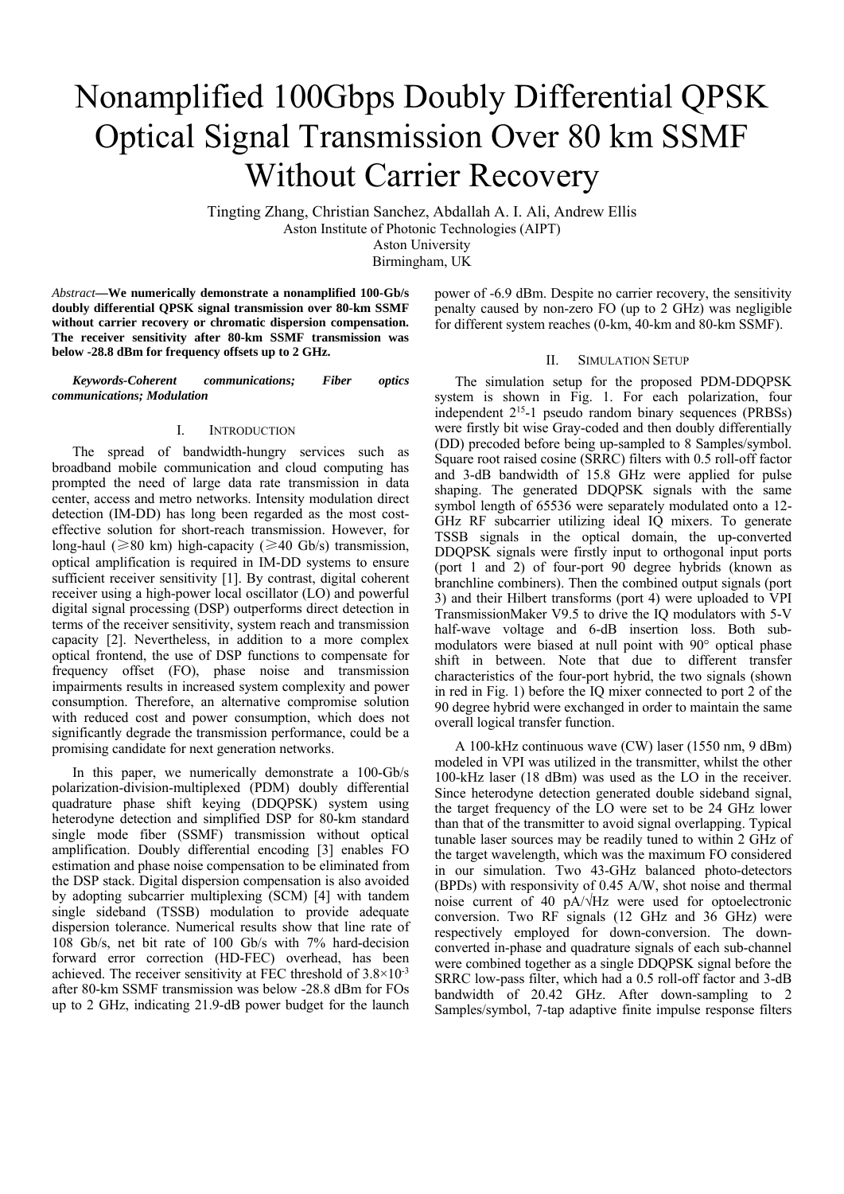# Nonamplified 100Gbps Doubly Differential QPSK Optical Signal Transmission Over 80 km SSMF Without Carrier Recovery

Tingting Zhang, Christian Sanchez, Abdallah A. I. Ali, Andrew Ellis Aston Institute of Photonic Technologies (AIPT) Aston University Birmingham, UK

*Abstract***—We numerically demonstrate a nonamplified 100-Gb/s doubly differential QPSK signal transmission over 80-km SSMF without carrier recovery or chromatic dispersion compensation. The receiver sensitivity after 80-km SSMF transmission was below -28.8 dBm for frequency offsets up to 2 GHz.** 

*Keywords-Coherent communications; Fiber optics communications; Modulation* 

## I. INTRODUCTION

The spread of bandwidth-hungry services such as broadband mobile communication and cloud computing has prompted the need of large data rate transmission in data center, access and metro networks. Intensity modulation direct detection (IM-DD) has long been regarded as the most costeffective solution for short-reach transmission. However, for long-haul ( $\geq 80$  km) high-capacity ( $\geq 40$  Gb/s) transmission, optical amplification is required in IM-DD systems to ensure sufficient receiver sensitivity [1]. By contrast, digital coherent receiver using a high-power local oscillator (LO) and powerful digital signal processing (DSP) outperforms direct detection in terms of the receiver sensitivity, system reach and transmission capacity [2]. Nevertheless, in addition to a more complex optical frontend, the use of DSP functions to compensate for frequency offset (FO), phase noise and transmission impairments results in increased system complexity and power consumption. Therefore, an alternative compromise solution with reduced cost and power consumption, which does not significantly degrade the transmission performance, could be a promising candidate for next generation networks.

In this paper, we numerically demonstrate a 100-Gb/s polarization-division-multiplexed (PDM) doubly differential quadrature phase shift keying (DDQPSK) system using heterodyne detection and simplified DSP for 80-km standard single mode fiber (SSMF) transmission without optical amplification. Doubly differential encoding [3] enables FO estimation and phase noise compensation to be eliminated from the DSP stack. Digital dispersion compensation is also avoided by adopting subcarrier multiplexing (SCM) [4] with tandem single sideband (TSSB) modulation to provide adequate dispersion tolerance. Numerical results show that line rate of 108 Gb/s, net bit rate of 100 Gb/s with 7% hard-decision forward error correction (HD-FEC) overhead, has been achieved. The receiver sensitivity at FEC threshold of  $3.8\times10^{-3}$ after 80-km SSMF transmission was below -28.8 dBm for FOs up to 2 GHz, indicating 21.9-dB power budget for the launch

power of -6.9 dBm. Despite no carrier recovery, the sensitivity penalty caused by non-zero FO (up to 2 GHz) was negligible for different system reaches (0-km, 40-km and 80-km SSMF).

## II. SIMULATION SETUP

The simulation setup for the proposed PDM-DDQPSK system is shown in Fig. 1. For each polarization, four independent 215-1 pseudo random binary sequences (PRBSs) were firstly bit wise Gray-coded and then doubly differentially (DD) precoded before being up-sampled to 8 Samples/symbol. Square root raised cosine (SRRC) filters with 0.5 roll-off factor and 3-dB bandwidth of 15.8 GHz were applied for pulse shaping. The generated DDOPSK signals with the same symbol length of 65536 were separately modulated onto a 12- GHz RF subcarrier utilizing ideal IQ mixers. To generate TSSB signals in the optical domain, the up-converted DDQPSK signals were firstly input to orthogonal input ports (port 1 and 2) of four-port 90 degree hybrids (known as branchline combiners). Then the combined output signals (port 3) and their Hilbert transforms (port 4) were uploaded to VPI TransmissionMaker V9.5 to drive the IQ modulators with 5-V half-wave voltage and 6-dB insertion loss. Both submodulators were biased at null point with 90° optical phase shift in between. Note that due to different transfer characteristics of the four-port hybrid, the two signals (shown in red in Fig. 1) before the IQ mixer connected to port 2 of the 90 degree hybrid were exchanged in order to maintain the same overall logical transfer function.

A 100-kHz continuous wave (CW) laser (1550 nm, 9 dBm) modeled in VPI was utilized in the transmitter, whilst the other 100-kHz laser (18 dBm) was used as the LO in the receiver. Since heterodyne detection generated double sideband signal, the target frequency of the LO were set to be 24 GHz lower than that of the transmitter to avoid signal overlapping. Typical tunable laser sources may be readily tuned to within 2 GHz of the target wavelength, which was the maximum FO considered in our simulation. Two 43-GHz balanced photo-detectors (BPDs) with responsivity of 0.45 A/W, shot noise and thermal noise current of 40 pA/√Hz were used for optoelectronic conversion. Two RF signals (12 GHz and 36 GHz) were respectively employed for down-conversion. The downconverted in-phase and quadrature signals of each sub-channel were combined together as a single DDQPSK signal before the SRRC low-pass filter, which had a 0.5 roll-off factor and 3-dB bandwidth of 20.42 GHz. After down-sampling to 2 Samples/symbol, 7-tap adaptive finite impulse response filters